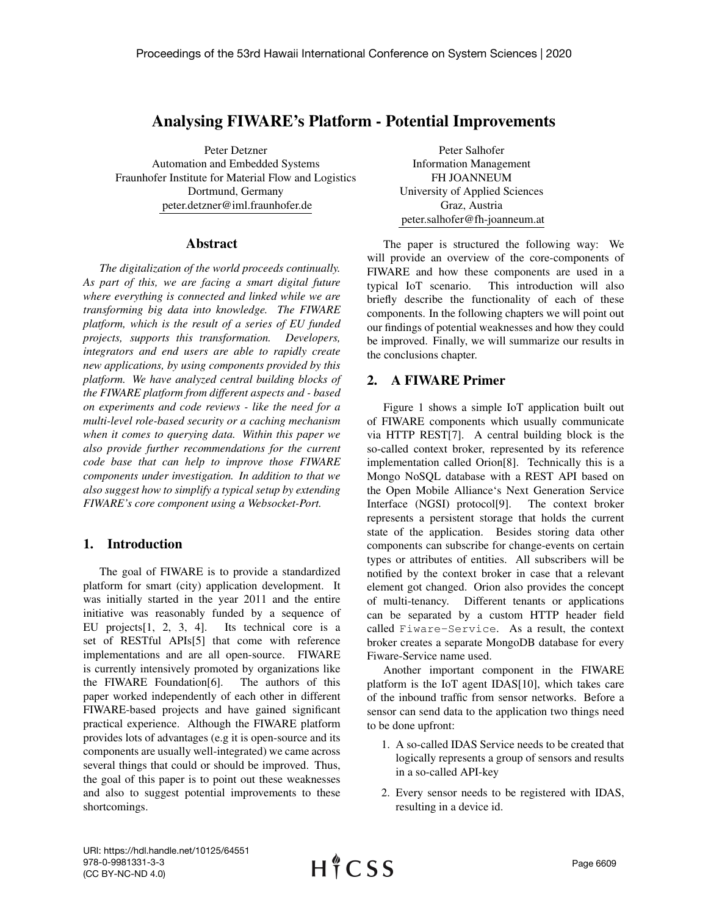# Analysing FIWARE's Platform - Potential Improvements

Peter Detzner Automation and Embedded Systems Fraunhofer Institute for Material Flow and Logistics Dortmund, Germany peter.detzner@iml.fraunhofer.de

#### Abstract

*The digitalization of the world proceeds continually. As part of this, we are facing a smart digital future where everything is connected and linked while we are transforming big data into knowledge. The FIWARE platform, which is the result of a series of EU funded projects, supports this transformation. Developers, integrators and end users are able to rapidly create new applications, by using components provided by this platform. We have analyzed central building blocks of the FIWARE platform from different aspects and - based on experiments and code reviews - like the need for a multi-level role-based security or a caching mechanism when it comes to querying data. Within this paper we also provide further recommendations for the current code base that can help to improve those FIWARE components under investigation. In addition to that we also suggest how to simplify a typical setup by extending FIWARE's core component using a Websocket-Port.*

# 1. Introduction

The goal of FIWARE is to provide a standardized platform for smart (city) application development. It was initially started in the year 2011 and the entire initiative was reasonably funded by a sequence of EU projects[1, 2, 3, 4]. Its technical core is a set of RESTful APIs[5] that come with reference implementations and are all open-source. FIWARE is currently intensively promoted by organizations like the FIWARE Foundation[6]. The authors of this paper worked independently of each other in different FIWARE-based projects and have gained significant practical experience. Although the FIWARE platform provides lots of advantages (e.g it is open-source and its components are usually well-integrated) we came across several things that could or should be improved. Thus, the goal of this paper is to point out these weaknesses and also to suggest potential improvements to these shortcomings.

Peter Salhofer Information Management FH JOANNEUM University of Applied Sciences Graz, Austria peter.salhofer@fh-joanneum.at

The paper is structured the following way: We will provide an overview of the core-components of FIWARE and how these components are used in a typical IoT scenario. This introduction will also briefly describe the functionality of each of these components. In the following chapters we will point out our findings of potential weaknesses and how they could be improved. Finally, we will summarize our results in the conclusions chapter.

# 2. A FIWARE Primer

Figure 1 shows a simple IoT application built out of FIWARE components which usually communicate via HTTP REST[7]. A central building block is the so-called context broker, represented by its reference implementation called Orion[8]. Technically this is a Mongo NoSQL database with a REST API based on the Open Mobile Alliance's Next Generation Service Interface (NGSI) protocol[9]. The context broker represents a persistent storage that holds the current state of the application. Besides storing data other components can subscribe for change-events on certain types or attributes of entities. All subscribers will be notified by the context broker in case that a relevant element got changed. Orion also provides the concept of multi-tenancy. Different tenants or applications can be separated by a custom HTTP header field called Fiware-Service. As a result, the context broker creates a separate MongoDB database for every Fiware-Service name used.

Another important component in the FIWARE platform is the IoT agent IDAS[10], which takes care of the inbound traffic from sensor networks. Before a sensor can send data to the application two things need to be done upfront:

- 1. A so-called IDAS Service needs to be created that logically represents a group of sensors and results in a so-called API-key
- 2. Every sensor needs to be registered with IDAS, resulting in a device id.

URI: https://hdl.handle.net/10125/64551 978-0-9981331-3-3 (CC BY-NC-ND 4.0)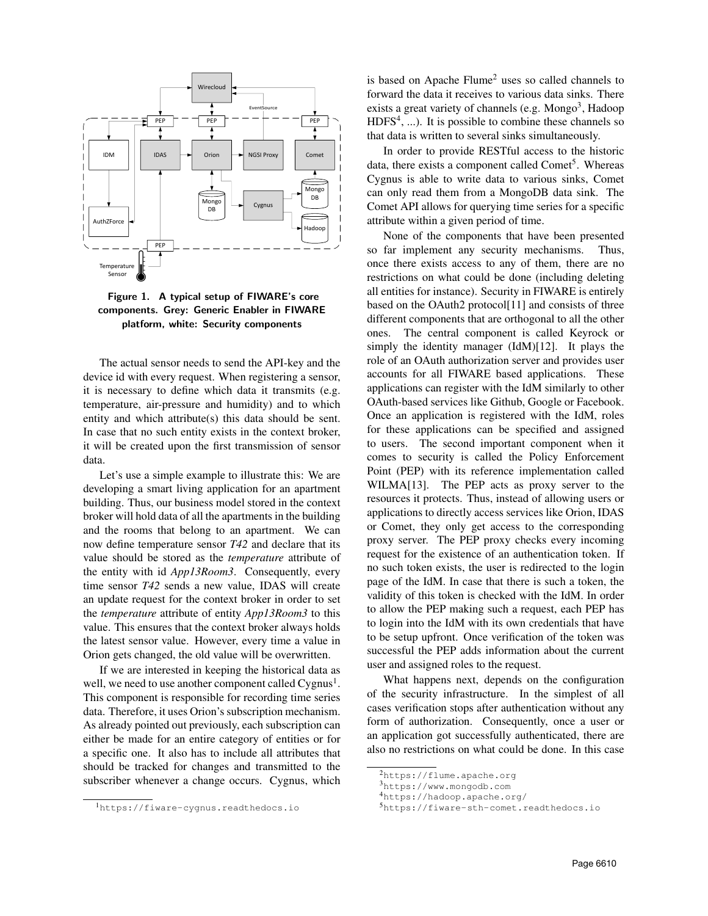



The actual sensor needs to send the API-key and the device id with every request. When registering a sensor, it is necessary to define which data it transmits (e.g. temperature, air-pressure and humidity) and to which entity and which attribute(s) this data should be sent. In case that no such entity exists in the context broker, it will be created upon the first transmission of sensor data.

Let's use a simple example to illustrate this: We are developing a smart living application for an apartment building. Thus, our business model stored in the context broker will hold data of all the apartments in the building and the rooms that belong to an apartment. We can now define temperature sensor *T42* and declare that its value should be stored as the *temperature* attribute of the entity with id *App13Room3*. Consequently, every time sensor *T42* sends a new value, IDAS will create an update request for the context broker in order to set the *temperature* attribute of entity *App13Room3* to this value. This ensures that the context broker always holds the latest sensor value. However, every time a value in Orion gets changed, the old value will be overwritten.

If we are interested in keeping the historical data as well, we need to use another component called Cygnus<sup>1</sup>. This component is responsible for recording time series data. Therefore, it uses Orion's subscription mechanism. As already pointed out previously, each subscription can either be made for an entire category of entities or for a specific one. It also has to include all attributes that should be tracked for changes and transmitted to the subscriber whenever a change occurs. Cygnus, which

<sup>1</sup>https://fiware-cygnus.readthedocs.io

is based on Apache Flume<sup>2</sup> uses so called channels to forward the data it receives to various data sinks. There exists a great variety of channels (e.g. Mongo<sup>3</sup>, Hadoop  $HDFS<sup>4</sup>, ...$ ). It is possible to combine these channels so that data is written to several sinks simultaneously.

In order to provide RESTful access to the historic data, there exists a component called Comet<sup>5</sup>. Whereas Cygnus is able to write data to various sinks, Comet can only read them from a MongoDB data sink. The Comet API allows for querying time series for a specific attribute within a given period of time.

None of the components that have been presented so far implement any security mechanisms. Thus, once there exists access to any of them, there are no restrictions on what could be done (including deleting all entities for instance). Security in FIWARE is entirely based on the OAuth2 protocol[11] and consists of three different components that are orthogonal to all the other ones. The central component is called Keyrock or simply the identity manager (IdM)[12]. It plays the role of an OAuth authorization server and provides user accounts for all FIWARE based applications. These applications can register with the IdM similarly to other OAuth-based services like Github, Google or Facebook. Once an application is registered with the IdM, roles for these applications can be specified and assigned to users. The second important component when it comes to security is called the Policy Enforcement Point (PEP) with its reference implementation called WILMA[13]. The PEP acts as proxy server to the resources it protects. Thus, instead of allowing users or applications to directly access services like Orion, IDAS or Comet, they only get access to the corresponding proxy server. The PEP proxy checks every incoming request for the existence of an authentication token. If no such token exists, the user is redirected to the login page of the IdM. In case that there is such a token, the validity of this token is checked with the IdM. In order to allow the PEP making such a request, each PEP has to login into the IdM with its own credentials that have to be setup upfront. Once verification of the token was successful the PEP adds information about the current user and assigned roles to the request.

What happens next, depends on the configuration of the security infrastructure. In the simplest of all cases verification stops after authentication without any form of authorization. Consequently, once a user or an application got successfully authenticated, there are also no restrictions on what could be done. In this case

<sup>2</sup>https://flume.apache.org

<sup>3</sup>https://www.mongodb.com

<sup>4</sup>https://hadoop.apache.org/

<sup>5</sup>https://fiware-sth-comet.readthedocs.io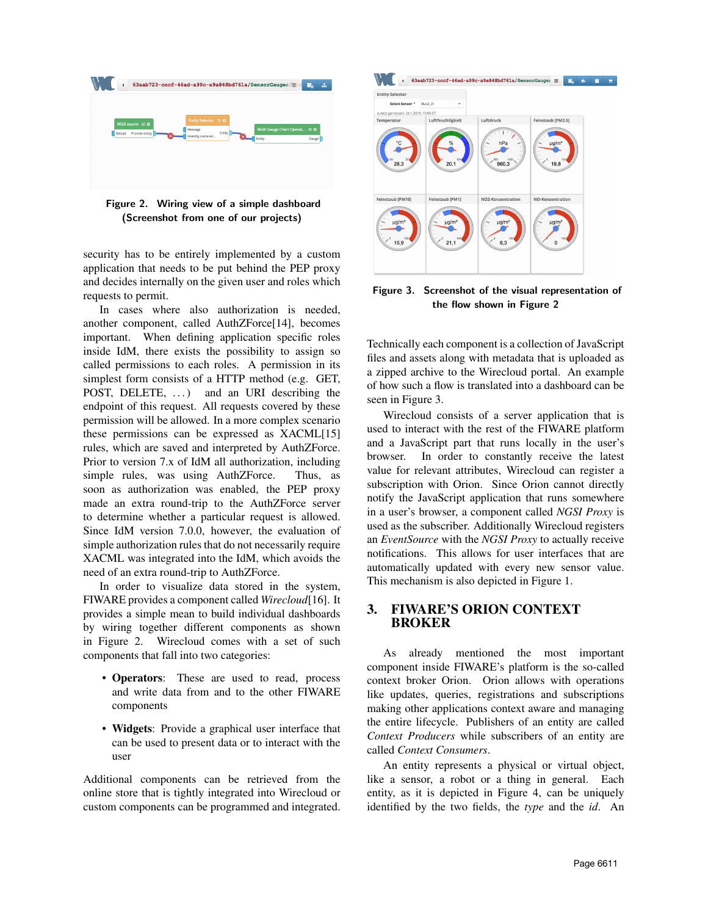

Figure 2. Wiring view of a simple dashboard (Screenshot from one of our projects)

security has to be entirely implemented by a custom application that needs to be put behind the PEP proxy and decides internally on the given user and roles which requests to permit.

In cases where also authorization is needed, another component, called AuthZForce[14], becomes important. When defining application specific roles inside IdM, there exists the possibility to assign so called permissions to each roles. A permission in its simplest form consists of a HTTP method (e.g. GET, POST, DELETE, ...) and an URI describing the endpoint of this request. All requests covered by these permission will be allowed. In a more complex scenario these permissions can be expressed as XACML[15] rules, which are saved and interpreted by AuthZForce. Prior to version 7.x of IdM all authorization, including simple rules, was using AuthZForce. Thus, as soon as authorization was enabled, the PEP proxy made an extra round-trip to the AuthZForce server to determine whether a particular request is allowed. Since IdM version 7.0.0, however, the evaluation of simple authorization rules that do not necessarily require XACML was integrated into the IdM, which avoids the need of an extra round-trip to AuthZForce.

In order to visualize data stored in the system, FIWARE provides a component called *Wirecloud*[16]. It provides a simple mean to build individual dashboards by wiring together different components as shown in Figure 2. Wirecloud comes with a set of such components that fall into two categories:

- Operators: These are used to read, process and write data from and to the other FIWARE components
- Widgets: Provide a graphical user interface that can be used to present data or to interact with the user

Additional components can be retrieved from the online store that is tightly integrated into Wirecloud or custom components can be programmed and integrated.



Figure 3. Screenshot of the visual representation of the flow shown in Figure 2

Technically each component is a collection of JavaScript files and assets along with metadata that is uploaded as a zipped archive to the Wirecloud portal. An example of how such a flow is translated into a dashboard can be seen in Figure 3.

Wirecloud consists of a server application that is used to interact with the rest of the FIWARE platform and a JavaScript part that runs locally in the user's browser. In order to constantly receive the latest value for relevant attributes, Wirecloud can register a subscription with Orion. Since Orion cannot directly notify the JavaScript application that runs somewhere in a user's browser, a component called *NGSI Proxy* is used as the subscriber. Additionally Wirecloud registers an *EventSource* with the *NGSI Proxy* to actually receive notifications. This allows for user interfaces that are automatically updated with every new sensor value. This mechanism is also depicted in Figure 1.

# 3. FIWARE'S ORION CONTEXT BROKER

As already mentioned the most important component inside FIWARE's platform is the so-called context broker Orion. Orion allows with operations like updates, queries, registrations and subscriptions making other applications context aware and managing the entire lifecycle. Publishers of an entity are called *Context Producers* while subscribers of an entity are called *Context Consumers*.

An entity represents a physical or virtual object, like a sensor, a robot or a thing in general. Each entity, as it is depicted in Figure 4, can be uniquely identified by the two fields, the *type* and the *id*. An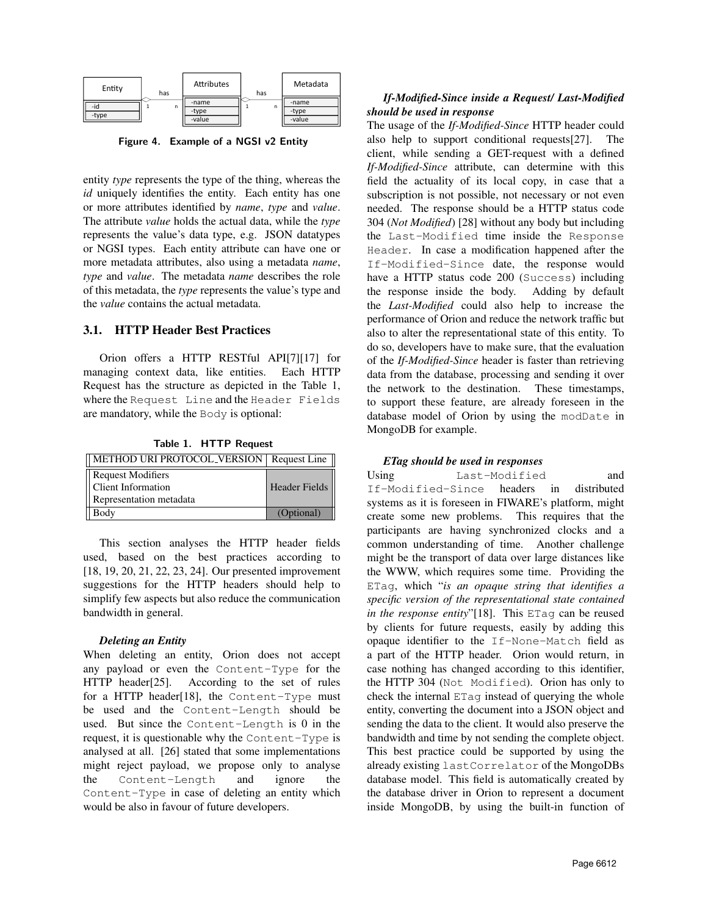

Figure 4. Example of a NGSI v2 Entity

entity *type* represents the type of the thing, whereas the *id* uniquely identifies the entity. Each entity has one or more attributes identified by *name*, *type* and *value*. The attribute *value* holds the actual data, while the *type* represents the value's data type, e.g. JSON datatypes or NGSI types. Each entity attribute can have one or more metadata attributes, also using a metadata *name*, *type* and *value*. The metadata *name* describes the role of this metadata, the *type* represents the value's type and the *value* contains the actual metadata.

#### 3.1. HTTP Header Best Practices

Orion offers a HTTP RESTful API[7][17] for managing context data, like entities. Each HTTP Request has the structure as depicted in the Table 1, where the Request Line and the Header Fields are mandatory, while the Body is optional:

Table 1. HTTP Request

| METHOD URI PROTOCOL_VERSION   Request Line |               |
|--------------------------------------------|---------------|
| Request Modifiers                          |               |
| Client Information                         | Header Fields |
| Representation metadata                    |               |
| Body                                       | (Optional)    |

This section analyses the HTTP header fields used, based on the best practices according to [18, 19, 20, 21, 22, 23, 24]. Our presented improvement suggestions for the HTTP headers should help to simplify few aspects but also reduce the communication bandwidth in general.

#### *Deleting an Entity*

When deleting an entity, Orion does not accept any payload or even the Content-Type for the HTTP header[25]. According to the set of rules for a HTTP header[18], the Content-Type must be used and the Content-Length should be used. But since the Content-Length is 0 in the request, it is questionable why the Content-Type is analysed at all. [26] stated that some implementations might reject payload, we propose only to analyse the Content-Length and ignore the Content-Type in case of deleting an entity which would be also in favour of future developers.

## *If-Modified-Since inside a Request/ Last-Modified should be used in response*

The usage of the *If-Modified-Since* HTTP header could also help to support conditional requests[27]. The client, while sending a GET-request with a defined *If-Modified-Since* attribute, can determine with this field the actuality of its local copy, in case that a subscription is not possible, not necessary or not even needed. The response should be a HTTP status code 304 (*Not Modified*) [28] without any body but including the Last-Modified time inside the Response Header. In case a modification happened after the If-Modified-Since date, the response would have a HTTP status code 200 (Success) including the response inside the body. Adding by default the *Last-Modified* could also help to increase the performance of Orion and reduce the network traffic but also to alter the representational state of this entity. To do so, developers have to make sure, that the evaluation of the *If-Modified-Since* header is faster than retrieving data from the database, processing and sending it over the network to the destination. These timestamps, to support these feature, are already foreseen in the database model of Orion by using the modDate in MongoDB for example.

#### *ETag should be used in responses*

Using Last-Modified and If-Modified-Since headers in distributed systems as it is foreseen in FIWARE's platform, might create some new problems. This requires that the participants are having synchronized clocks and a common understanding of time. Another challenge might be the transport of data over large distances like the WWW, which requires some time. Providing the ETag, which "*is an opaque string that identifies a specific version of the representational state contained in the response entity*"[18]. This ETag can be reused by clients for future requests, easily by adding this opaque identifier to the If-None-Match field as a part of the HTTP header. Orion would return, in case nothing has changed according to this identifier, the HTTP 304 (Not Modified). Orion has only to check the internal ETag instead of querying the whole entity, converting the document into a JSON object and sending the data to the client. It would also preserve the bandwidth and time by not sending the complete object. This best practice could be supported by using the already existing lastCorrelator of the MongoDBs database model. This field is automatically created by the database driver in Orion to represent a document inside MongoDB, by using the built-in function of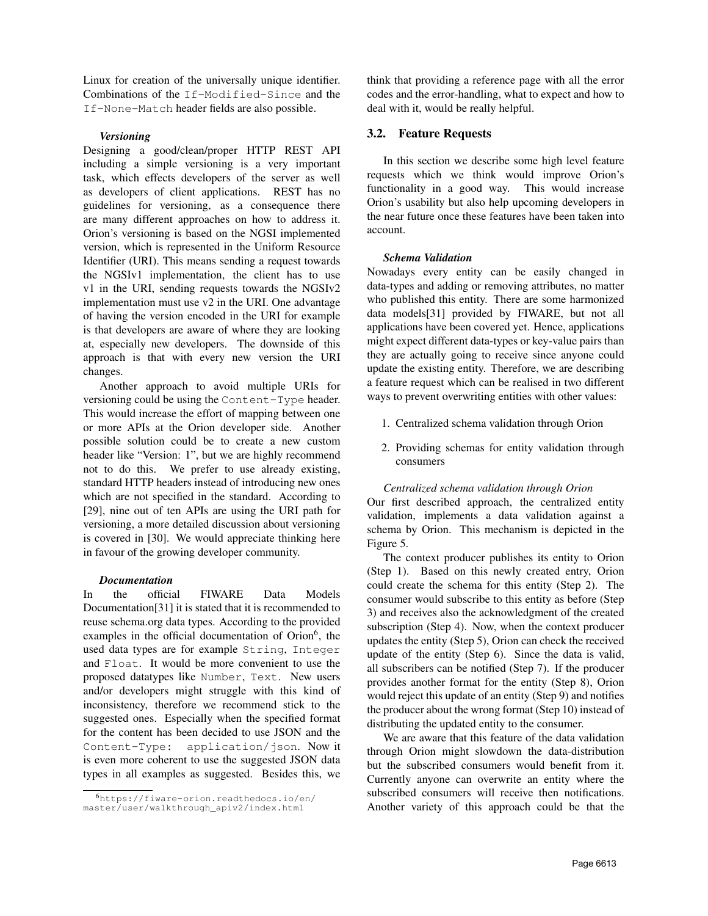Linux for creation of the universally unique identifier. Combinations of the If-Modified-Since and the If-None-Match header fields are also possible.

#### *Versioning*

Designing a good/clean/proper HTTP REST API including a simple versioning is a very important task, which effects developers of the server as well as developers of client applications. REST has no guidelines for versioning, as a consequence there are many different approaches on how to address it. Orion's versioning is based on the NGSI implemented version, which is represented in the Uniform Resource Identifier (URI). This means sending a request towards the NGSIv1 implementation, the client has to use v1 in the URI, sending requests towards the NGSIv2 implementation must use v2 in the URI. One advantage of having the version encoded in the URI for example is that developers are aware of where they are looking at, especially new developers. The downside of this approach is that with every new version the URI changes.

Another approach to avoid multiple URIs for versioning could be using the Content-Type header. This would increase the effort of mapping between one or more APIs at the Orion developer side. Another possible solution could be to create a new custom header like "Version: 1", but we are highly recommend not to do this. We prefer to use already existing, standard HTTP headers instead of introducing new ones which are not specified in the standard. According to [29], nine out of ten APIs are using the URI path for versioning, a more detailed discussion about versioning is covered in [30]. We would appreciate thinking here in favour of the growing developer community.

#### *Documentation*

In the official FIWARE Data Models Documentation[31] it is stated that it is recommended to reuse schema.org data types. According to the provided examples in the official documentation of Orion<sup>6</sup>, the used data types are for example String, Integer and Float. It would be more convenient to use the proposed datatypes like Number, Text. New users and/or developers might struggle with this kind of inconsistency, therefore we recommend stick to the suggested ones. Especially when the specified format for the content has been decided to use JSON and the Content-Type: application/json. Now it is even more coherent to use the suggested JSON data types in all examples as suggested. Besides this, we think that providing a reference page with all the error codes and the error-handling, what to expect and how to deal with it, would be really helpful.

### 3.2. Feature Requests

In this section we describe some high level feature requests which we think would improve Orion's functionality in a good way. This would increase Orion's usability but also help upcoming developers in the near future once these features have been taken into account.

#### *Schema Validation*

Nowadays every entity can be easily changed in data-types and adding or removing attributes, no matter who published this entity. There are some harmonized data models[31] provided by FIWARE, but not all applications have been covered yet. Hence, applications might expect different data-types or key-value pairs than they are actually going to receive since anyone could update the existing entity. Therefore, we are describing a feature request which can be realised in two different ways to prevent overwriting entities with other values:

- 1. Centralized schema validation through Orion
- 2. Providing schemas for entity validation through consumers

#### *Centralized schema validation through Orion*

Our first described approach, the centralized entity validation, implements a data validation against a schema by Orion. This mechanism is depicted in the Figure 5.

The context producer publishes its entity to Orion (Step 1). Based on this newly created entry, Orion could create the schema for this entity (Step 2). The consumer would subscribe to this entity as before (Step 3) and receives also the acknowledgment of the created subscription (Step 4). Now, when the context producer updates the entity (Step 5), Orion can check the received update of the entity (Step 6). Since the data is valid, all subscribers can be notified (Step 7). If the producer provides another format for the entity (Step 8), Orion would reject this update of an entity (Step 9) and notifies the producer about the wrong format (Step 10) instead of distributing the updated entity to the consumer.

We are aware that this feature of the data validation through Orion might slowdown the data-distribution but the subscribed consumers would benefit from it. Currently anyone can overwrite an entity where the subscribed consumers will receive then notifications. Another variety of this approach could be that the

<sup>6</sup>https://fiware-orion.readthedocs.io/en/ master/user/walkthrough\_apiv2/index.html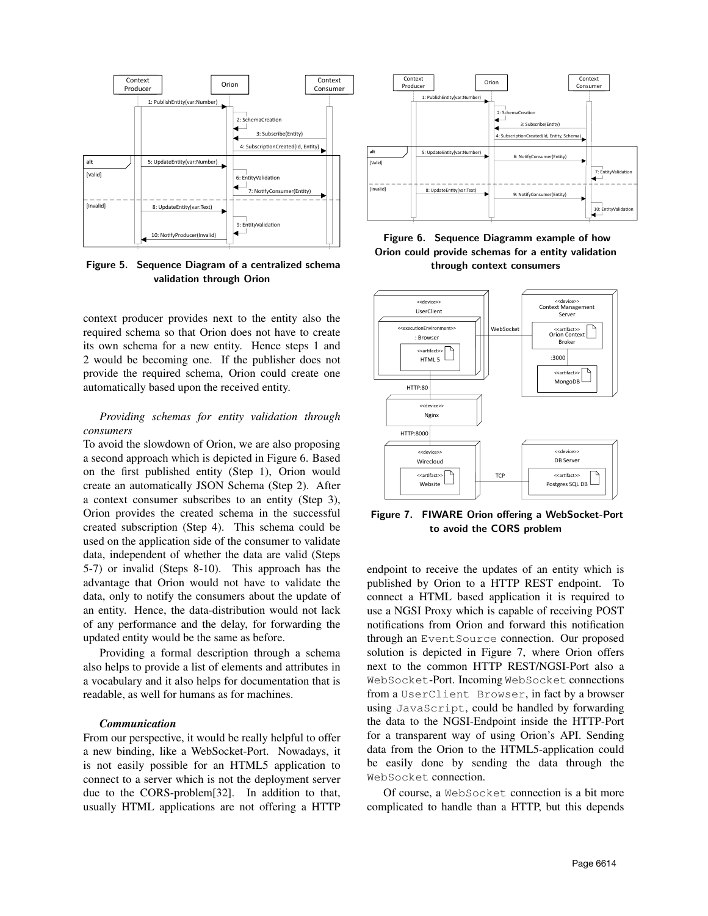

Figure 5. Sequence Diagram of a centralized schema validation through Orion

context producer provides next to the entity also the required schema so that Orion does not have to create its own schema for a new entity. Hence steps 1 and 2 would be becoming one. If the publisher does not provide the required schema, Orion could create one automatically based upon the received entity.

### *Providing schemas for entity validation through consumers*

To avoid the slowdown of Orion, we are also proposing a second approach which is depicted in Figure 6. Based on the first published entity (Step 1), Orion would create an automatically JSON Schema (Step 2). After a context consumer subscribes to an entity (Step 3), Orion provides the created schema in the successful created subscription (Step 4). This schema could be used on the application side of the consumer to validate data, independent of whether the data are valid (Steps 5-7) or invalid (Steps 8-10). This approach has the advantage that Orion would not have to validate the data, only to notify the consumers about the update of an entity. Hence, the data-distribution would not lack of any performance and the delay, for forwarding the updated entity would be the same as before.

Providing a formal description through a schema also helps to provide a list of elements and attributes in a vocabulary and it also helps for documentation that is readable, as well for humans as for machines.

#### *Communication*

From our perspective, it would be really helpful to offer a new binding, like a WebSocket-Port. Nowadays, it is not easily possible for an HTML5 application to connect to a server which is not the deployment server due to the CORS-problem[32]. In addition to that, usually HTML applications are not offering a HTTP



Figure 6. Sequence Diagramm example of how Orion could provide schemas for a entity validation through context consumers



Figure 7. FIWARE Orion offering a WebSocket-Port to avoid the CORS problem

endpoint to receive the updates of an entity which is published by Orion to a HTTP REST endpoint. To connect a HTML based application it is required to use a NGSI Proxy which is capable of receiving POST notifications from Orion and forward this notification through an EventSource connection. Our proposed solution is depicted in Figure 7, where Orion offers next to the common HTTP REST/NGSI-Port also a WebSocket-Port. Incoming WebSocket connections from a UserClient Browser, in fact by a browser using JavaScript, could be handled by forwarding the data to the NGSI-Endpoint inside the HTTP-Port for a transparent way of using Orion's API. Sending data from the Orion to the HTML5-application could be easily done by sending the data through the WebSocket connection.

Of course, a WebSocket connection is a bit more complicated to handle than a HTTP, but this depends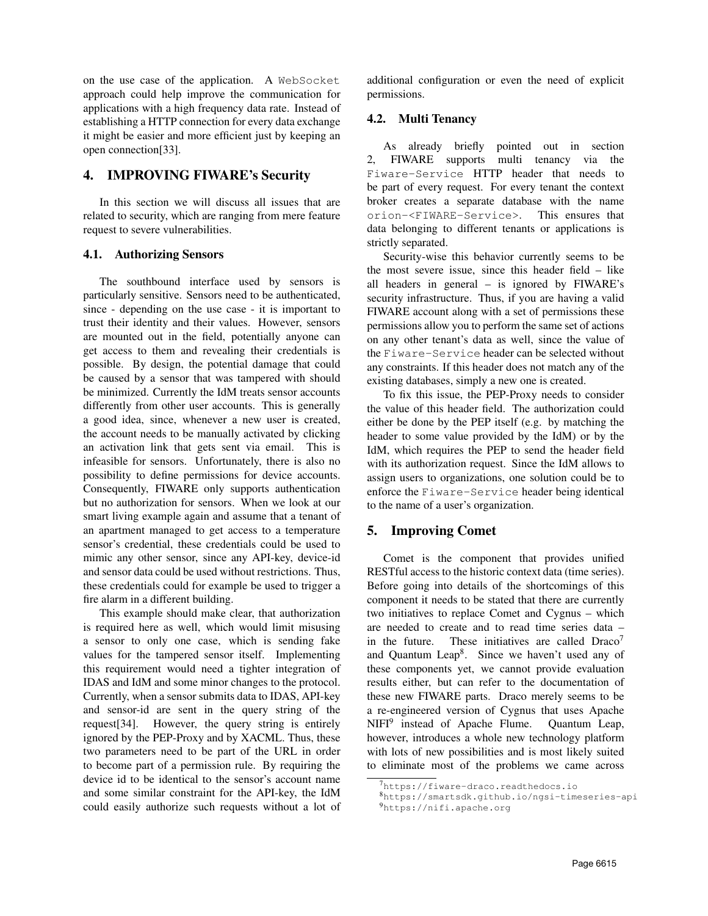on the use case of the application. A WebSocket approach could help improve the communication for applications with a high frequency data rate. Instead of establishing a HTTP connection for every data exchange it might be easier and more efficient just by keeping an open connection[33].

# 4. IMPROVING FIWARE's Security

In this section we will discuss all issues that are related to security, which are ranging from mere feature request to severe vulnerabilities.

### 4.1. Authorizing Sensors

The southbound interface used by sensors is particularly sensitive. Sensors need to be authenticated, since - depending on the use case - it is important to trust their identity and their values. However, sensors are mounted out in the field, potentially anyone can get access to them and revealing their credentials is possible. By design, the potential damage that could be caused by a sensor that was tampered with should be minimized. Currently the IdM treats sensor accounts differently from other user accounts. This is generally a good idea, since, whenever a new user is created, the account needs to be manually activated by clicking an activation link that gets sent via email. This is infeasible for sensors. Unfortunately, there is also no possibility to define permissions for device accounts. Consequently, FIWARE only supports authentication but no authorization for sensors. When we look at our smart living example again and assume that a tenant of an apartment managed to get access to a temperature sensor's credential, these credentials could be used to mimic any other sensor, since any API-key, device-id and sensor data could be used without restrictions. Thus, these credentials could for example be used to trigger a fire alarm in a different building.

This example should make clear, that authorization is required here as well, which would limit misusing a sensor to only one case, which is sending fake values for the tampered sensor itself. Implementing this requirement would need a tighter integration of IDAS and IdM and some minor changes to the protocol. Currently, when a sensor submits data to IDAS, API-key and sensor-id are sent in the query string of the request[34]. However, the query string is entirely ignored by the PEP-Proxy and by XACML. Thus, these two parameters need to be part of the URL in order to become part of a permission rule. By requiring the device id to be identical to the sensor's account name and some similar constraint for the API-key, the IdM could easily authorize such requests without a lot of additional configuration or even the need of explicit permissions.

### 4.2. Multi Tenancy

As already briefly pointed out in section 2, FIWARE supports multi tenancy via the Fiware-Service HTTP header that needs to be part of every request. For every tenant the context broker creates a separate database with the name orion-<FIWARE-Service>. This ensures that data belonging to different tenants or applications is strictly separated.

Security-wise this behavior currently seems to be the most severe issue, since this header field – like all headers in general – is ignored by FIWARE's security infrastructure. Thus, if you are having a valid FIWARE account along with a set of permissions these permissions allow you to perform the same set of actions on any other tenant's data as well, since the value of the Fiware-Service header can be selected without any constraints. If this header does not match any of the existing databases, simply a new one is created.

To fix this issue, the PEP-Proxy needs to consider the value of this header field. The authorization could either be done by the PEP itself (e.g. by matching the header to some value provided by the IdM) or by the IdM, which requires the PEP to send the header field with its authorization request. Since the IdM allows to assign users to organizations, one solution could be to enforce the Fiware-Service header being identical to the name of a user's organization.

## 5. Improving Comet

Comet is the component that provides unified RESTful access to the historic context data (time series). Before going into details of the shortcomings of this component it needs to be stated that there are currently two initiatives to replace Comet and Cygnus – which are needed to create and to read time series data – in the future. These initiatives are called  $Draco<sup>7</sup>$ and Quantum Leap<sup>8</sup>. Since we haven't used any of these components yet, we cannot provide evaluation results either, but can refer to the documentation of these new FIWARE parts. Draco merely seems to be a re-engineered version of Cygnus that uses Apache NIFI<sup>9</sup> instead of Apache Flume. Quantum Leap, however, introduces a whole new technology platform with lots of new possibilities and is most likely suited to eliminate most of the problems we came across

<sup>7</sup>https://fiware-draco.readthedocs.io

<sup>8</sup>https://smartsdk.github.io/ngsi-timeseries-api

<sup>9</sup>https://nifi.apache.org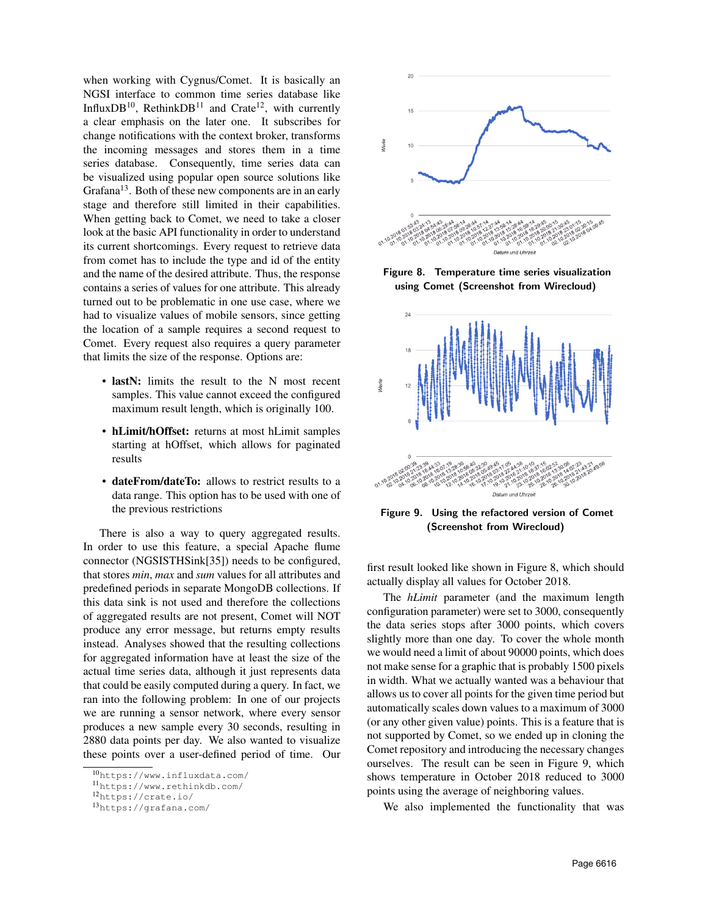when working with Cygnus/Comet. It is basically an NGSI interface to common time series database like InfluxDB<sup>10</sup>, RethinkDB<sup>11</sup> and Crate<sup>12</sup>, with currently a clear emphasis on the later one. It subscribes for change notifications with the context broker, transforms the incoming messages and stores them in a time series database. Consequently, time series data can be visualized using popular open source solutions like Grafana $13$ . Both of these new components are in an early stage and therefore still limited in their capabilities. When getting back to Comet, we need to take a closer look at the basic API functionality in order to understand its current shortcomings. Every request to retrieve data from comet has to include the type and id of the entity and the name of the desired attribute. Thus, the response contains a series of values for one attribute. This already turned out to be problematic in one use case, where we had to visualize values of mobile sensors, since getting the location of a sample requires a second request to Comet. Every request also requires a query parameter that limits the size of the response. Options are:

- lastN: limits the result to the N most recent samples. This value cannot exceed the configured maximum result length, which is originally 100.
- hLimit/hOffset: returns at most hLimit samples starting at hOffset, which allows for paginated results
- dateFrom/dateTo: allows to restrict results to a data range. This option has to be used with one of the previous restrictions

There is also a way to query aggregated results. In order to use this feature, a special Apache flume connector (NGSISTHSink[35]) needs to be configured, that stores *min*, *max* and *sum* values for all attributes and predefined periods in separate MongoDB collections. If this data sink is not used and therefore the collections of aggregated results are not present, Comet will NOT produce any error message, but returns empty results instead. Analyses showed that the resulting collections for aggregated information have at least the size of the actual time series data, although it just represents data that could be easily computed during a query. In fact, we ran into the following problem: In one of our projects we are running a sensor network, where every sensor produces a new sample every 30 seconds, resulting in 2880 data points per day. We also wanted to visualize these points over a user-defined period of time. Our



Figure 8. Temperature time series visualization using Comet (Screenshot from Wirecloud)



Figure 9. Using the refactored version of Comet (Screenshot from Wirecloud)

first result looked like shown in Figure 8, which should actually display all values for October 2018.

The *hLimit* parameter (and the maximum length configuration parameter) were set to 3000, consequently the data series stops after 3000 points, which covers slightly more than one day. To cover the whole month we would need a limit of about 90000 points, which does not make sense for a graphic that is probably 1500 pixels in width. What we actually wanted was a behaviour that allows us to cover all points for the given time period but automatically scales down values to a maximum of 3000 (or any other given value) points. This is a feature that is not supported by Comet, so we ended up in cloning the Comet repository and introducing the necessary changes ourselves. The result can be seen in Figure 9, which shows temperature in October 2018 reduced to 3000 points using the average of neighboring values.

We also implemented the functionality that was

<sup>10</sup>https://www.influxdata.com/

<sup>11</sup>https://www.rethinkdb.com/

<sup>12</sup>https://crate.io/

<sup>13</sup>https://grafana.com/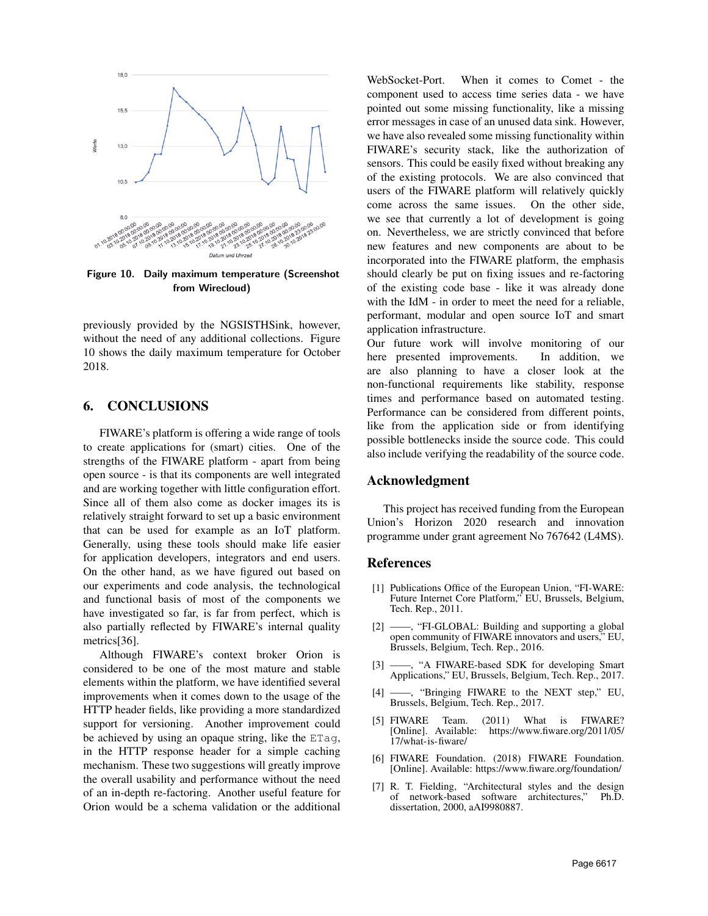

Figure 10. Daily maximum temperature (Screenshot from Wirecloud)

previously provided by the NGSISTHSink, however, without the need of any additional collections. Figure 10 shows the daily maximum temperature for October 2018.

#### 6. CONCLUSIONS

FIWARE's platform is offering a wide range of tools to create applications for (smart) cities. One of the strengths of the FIWARE platform - apart from being open source - is that its components are well integrated and are working together with little configuration effort. Since all of them also come as docker images its is relatively straight forward to set up a basic environment that can be used for example as an IoT platform. Generally, using these tools should make life easier for application developers, integrators and end users. On the other hand, as we have figured out based on our experiments and code analysis, the technological and functional basis of most of the components we have investigated so far, is far from perfect, which is also partially reflected by FIWARE's internal quality metrics[36].

Although FIWARE's context broker Orion is considered to be one of the most mature and stable elements within the platform, we have identified several improvements when it comes down to the usage of the HTTP header fields, like providing a more standardized support for versioning. Another improvement could be achieved by using an opaque string, like the ETag, in the HTTP response header for a simple caching mechanism. These two suggestions will greatly improve the overall usability and performance without the need of an in-depth re-factoring. Another useful feature for Orion would be a schema validation or the additional

WebSocket-Port. When it comes to Comet - the component used to access time series data - we have pointed out some missing functionality, like a missing error messages in case of an unused data sink. However, we have also revealed some missing functionality within FIWARE's security stack, like the authorization of sensors. This could be easily fixed without breaking any of the existing protocols. We are also convinced that users of the FIWARE platform will relatively quickly come across the same issues. On the other side, we see that currently a lot of development is going on. Nevertheless, we are strictly convinced that before new features and new components are about to be incorporated into the FIWARE platform, the emphasis should clearly be put on fixing issues and re-factoring of the existing code base - like it was already done with the IdM - in order to meet the need for a reliable, performant, modular and open source IoT and smart application infrastructure.

Our future work will involve monitoring of our here presented improvements. In addition, we are also planning to have a closer look at the non-functional requirements like stability, response times and performance based on automated testing. Performance can be considered from different points, like from the application side or from identifying possible bottlenecks inside the source code. This could also include verifying the readability of the source code.

#### Acknowledgment

This project has received funding from the European Union's Horizon 2020 research and innovation programme under grant agreement No 767642 (L4MS).

#### References

- [1] Publications Office of the European Union, "FI-WARE: Future Internet Core Platform," EU, Brussels, Belgium, Tech. Rep., 2011.
- [2] -, "FI-GLOBAL: Building and supporting a global open community of FIWARE innovators and users," EU, Brussels, Belgium, Tech. Rep., 2016.
- **-**, "A FIWARE-based SDK for developing Smart Applications," EU, Brussels, Belgium, Tech. Rep., 2017.
- [4] ——, "Bringing FIWARE to the NEXT step," EU, Brussels, Belgium, Tech. Rep., 2017.
- [5] FIWARE Team. (2011) What is FIWARE?<br>[Online]. Available: https://www.fiware.org/2011/05/ https://www.fiware.org/2011/05/ 17/what-is-fiware/
- [6] FIWARE Foundation. (2018) FIWARE Foundation. [Online]. Available: https://www.fiware.org/foundation/
- [7] R. T. Fielding, "Architectural styles and the design of network-based software architectures," Ph.D. dissertation, 2000, aAI9980887.